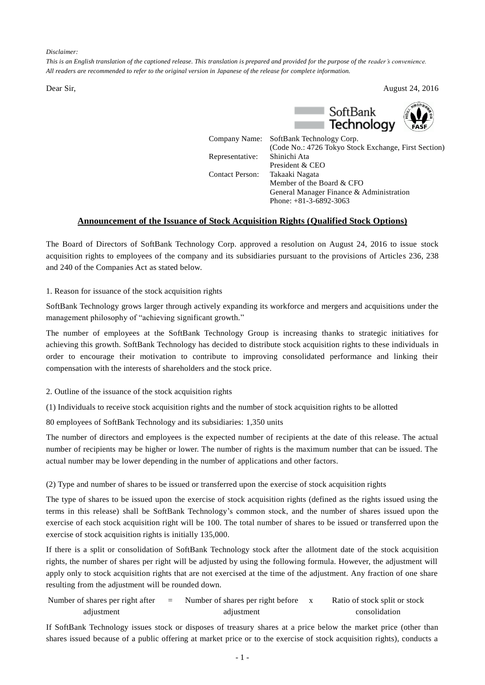*Disclaimer:*

*This is an English translation of the captioned release. This translation is prepared and provided for the purpose of the reader's convenience. All readers are recommended to refer to the original version in Japanese of the release for complete information.*

Dear Sir, August 24, 2016



(Code No.: 4726 Tokyo Stock Exchange, First Section)

Representative: Shinichi Ata

President & CEO Contact Person: Takaaki Nagata Member of the Board & CFO General Manager Finance & Administration Phone: +81-3-6892-3063

## **Announcement of the Issuance of Stock Acquisition Rights (Qualified Stock Options)**

The Board of Directors of SoftBank Technology Corp. approved a resolution on August 24, 2016 to issue stock acquisition rights to employees of the company and its subsidiaries pursuant to the provisions of Articles 236, 238 and 240 of the Companies Act as stated below.

1. Reason for issuance of the stock acquisition rights

SoftBank Technology grows larger through actively expanding its workforce and mergers and acquisitions under the management philosophy of "achieving significant growth."

The number of employees at the SoftBank Technology Group is increasing thanks to strategic initiatives for achieving this growth. SoftBank Technology has decided to distribute stock acquisition rights to these individuals in order to encourage their motivation to contribute to improving consolidated performance and linking their compensation with the interests of shareholders and the stock price.

2. Outline of the issuance of the stock acquisition rights

(1) Individuals to receive stock acquisition rights and the number of stock acquisition rights to be allotted

80 employees of SoftBank Technology and its subsidiaries: 1,350 units

The number of directors and employees is the expected number of recipients at the date of this release. The actual number of recipients may be higher or lower. The number of rights is the maximum number that can be issued. The actual number may be lower depending in the number of applications and other factors.

(2) Type and number of shares to be issued or transferred upon the exercise of stock acquisition rights

The type of shares to be issued upon the exercise of stock acquisition rights (defined as the rights issued using the terms in this release) shall be SoftBank Technology's common stock, and the number of shares issued upon the exercise of each stock acquisition right will be 100. The total number of shares to be issued or transferred upon the exercise of stock acquisition rights is initially 135,000.

If there is a split or consolidation of SoftBank Technology stock after the allotment date of the stock acquisition rights, the number of shares per right will be adjusted by using the following formula. However, the adjustment will apply only to stock acquisition rights that are not exercised at the time of the adjustment. Any fraction of one share resulting from the adjustment will be rounded down.

| Number of shares per right after | $=$ | Number of shares per right before | Ratio of stock split or stock |
|----------------------------------|-----|-----------------------------------|-------------------------------|
| adjustment                       |     | adjustment                        | consolidation                 |

If SoftBank Technology issues stock or disposes of treasury shares at a price below the market price (other than shares issued because of a public offering at market price or to the exercise of stock acquisition rights), conducts a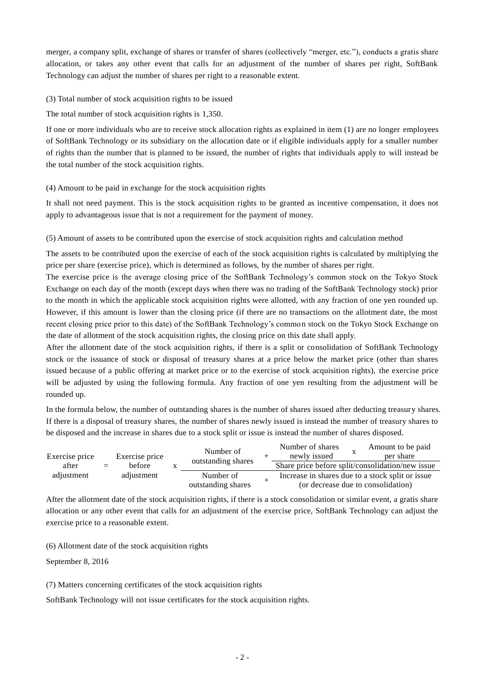merger, a company split, exchange of shares or transfer of shares (collectively "merger, etc."), conducts a gratis share allocation, or takes any other event that calls for an adjustment of the number of shares per right, SoftBank Technology can adjust the number of shares per right to a reasonable extent.

(3) Total number of stock acquisition rights to be issued

The total number of stock acquisition rights is 1,350.

If one or more individuals who are to receive stock allocation rights as explained in item (1) are no longer employees of SoftBank Technology or its subsidiary on the allocation date or if eligible individuals apply for a smaller number of rights than the number that is planned to be issued, the number of rights that individuals apply to will instead be the total number of the stock acquisition rights.

## (4) Amount to be paid in exchange for the stock acquisition rights

It shall not need payment. This is the stock acquisition rights to be granted as incentive compensation, it does not apply to advantageous issue that is not a requirement for the payment of money.

(5) Amount of assets to be contributed upon the exercise of stock acquisition rights and calculation method

The assets to be contributed upon the exercise of each of the stock acquisition rights is calculated by multiplying the price per share (exercise price), which is determined as follows, by the number of shares per right.

The exercise price is the average closing price of the SoftBank Technology's common stock on the Tokyo Stock Exchange on each day of the month (except days when there was no trading of the SoftBank Technology stock) prior to the month in which the applicable stock acquisition rights were allotted, with any fraction of one yen rounded up. However, if this amount is lower than the closing price (if there are no transactions on the allotment date, the most recent closing price prior to this date) of the SoftBank Technology's common stock on the Tokyo Stock Exchange on the date of allotment of the stock acquisition rights, the closing price on this date shall apply.

After the allotment date of the stock acquisition rights, if there is a split or consolidation of SoftBank Technology stock or the issuance of stock or disposal of treasury shares at a price below the market price (other than shares issued because of a public offering at market price or to the exercise of stock acquisition rights), the exercise price will be adjusted by using the following formula. Any fraction of one yen resulting from the adjustment will be rounded up.

In the formula below, the number of outstanding shares is the number of shares issued after deducting treasury shares. If there is a disposal of treasury shares, the number of shares newly issued is instead the number of treasury shares to be disposed and the increase in shares due to a stock split or issue is instead the number of shares disposed.

| Exercise price           |  | Exercise price<br>before<br>$=$ | Number of<br>outstanding shares |  | Number of shares<br>newly issued                 |  | Amount to be paid<br>per share                   |
|--------------------------|--|---------------------------------|---------------------------------|--|--------------------------------------------------|--|--------------------------------------------------|
| after                    |  |                                 |                                 |  |                                                  |  | Share price before split/consolidation/new issue |
| adjustment<br>adjustment |  |                                 | Number of                       |  | Increase in shares due to a stock split or issue |  |                                                  |
|                          |  |                                 | outstanding shares              |  |                                                  |  | (or decrease due to consolidation)               |

After the allotment date of the stock acquisition rights, if there is a stock consolidation or similar event, a gratis share allocation or any other event that calls for an adjustment of the exercise price, SoftBank Technology can adjust the exercise price to a reasonable extent.

(6) Allotment date of the stock acquisition rights

September 8, 2016

(7) Matters concerning certificates of the stock acquisition rights

SoftBank Technology will not issue certificates for the stock acquisition rights.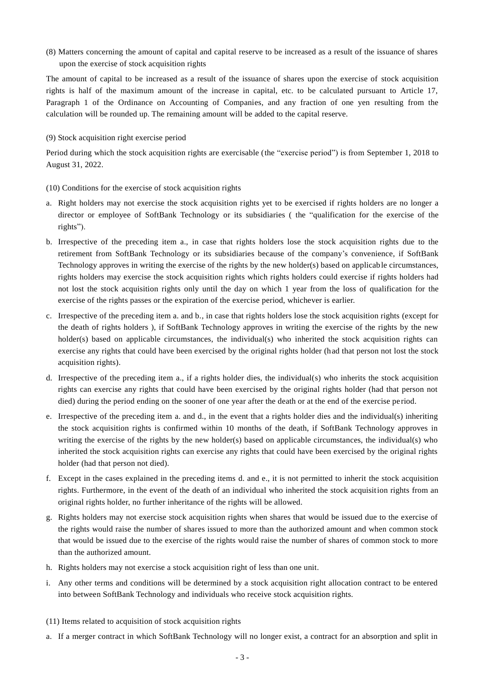(8) Matters concerning the amount of capital and capital reserve to be increased as a result of the issuance of shares upon the exercise of stock acquisition rights

The amount of capital to be increased as a result of the issuance of shares upon the exercise of stock acquisition rights is half of the maximum amount of the increase in capital, etc. to be calculated pursuant to Article 17, Paragraph 1 of the Ordinance on Accounting of Companies, and any fraction of one yen resulting from the calculation will be rounded up. The remaining amount will be added to the capital reserve.

## (9) Stock acquisition right exercise period

Period during which the stock acquisition rights are exercisable (the "exercise period") is from September 1, 2018 to August 31, 2022.

## (10) Conditions for the exercise of stock acquisition rights

- a. Right holders may not exercise the stock acquisition rights yet to be exercised if rights holders are no longer a director or employee of SoftBank Technology or its subsidiaries ( the "qualification for the exercise of the rights").
- b. Irrespective of the preceding item a., in case that rights holders lose the stock acquisition rights due to the retirement from SoftBank Technology or its subsidiaries because of the company's convenience, if SoftBank Technology approves in writing the exercise of the rights by the new holder(s) based on applicable circumstances, rights holders may exercise the stock acquisition rights which rights holders could exercise if rights holders had not lost the stock acquisition rights only until the day on which 1 year from the loss of qualification for the exercise of the rights passes or the expiration of the exercise period, whichever is earlier.
- c. Irrespective of the preceding item a. and b., in case that rights holders lose the stock acquisition rights (except for the death of rights holders ), if SoftBank Technology approves in writing the exercise of the rights by the new holder(s) based on applicable circumstances, the individual(s) who inherited the stock acquisition rights can exercise any rights that could have been exercised by the original rights holder (had that person not lost the stock acquisition rights).
- d. Irrespective of the preceding item a., if a rights holder dies, the individual(s) who inherits the stock acquisition rights can exercise any rights that could have been exercised by the original rights holder (had that person not died) during the period ending on the sooner of one year after the death or at the end of the exercise pe riod.
- e. Irrespective of the preceding item a. and d., in the event that a rights holder dies and the individual(s) inheriting the stock acquisition rights is confirmed within 10 months of the death, if SoftBank Technology approves in writing the exercise of the rights by the new holder(s) based on applicable circumstances, the individual(s) who inherited the stock acquisition rights can exercise any rights that could have been exercised by the original rights holder (had that person not died).
- f. Except in the cases explained in the preceding items d. and e., it is not permitted to inherit the stock acquisition rights. Furthermore, in the event of the death of an individual who inherited the stock acquisition rights from an original rights holder, no further inheritance of the rights will be allowed.
- g. Rights holders may not exercise stock acquisition rights when shares that would be issued due to the exercise of the rights would raise the number of shares issued to more than the authorized amount and when common stock that would be issued due to the exercise of the rights would raise the number of shares of common stock to more than the authorized amount.
- h. Rights holders may not exercise a stock acquisition right of less than one unit.
- i. Any other terms and conditions will be determined by a stock acquisition right allocation contract to be entered into between SoftBank Technology and individuals who receive stock acquisition rights.
- (11) Items related to acquisition of stock acquisition rights
- a. If a merger contract in which SoftBank Technology will no longer exist, a contract for an absorption and split in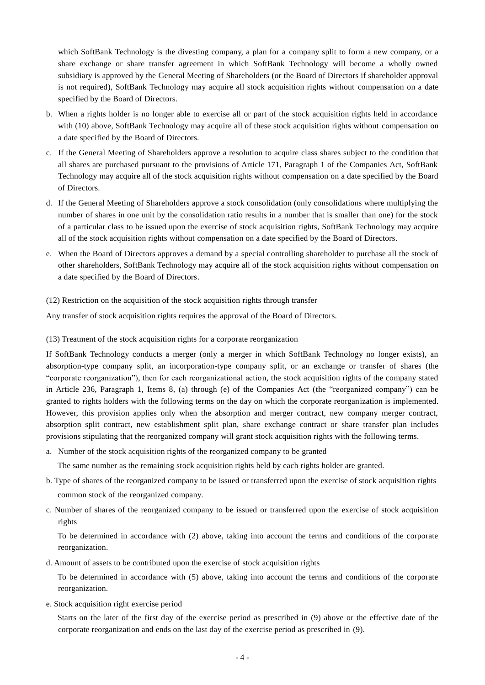which SoftBank Technology is the divesting company, a plan for a company split to form a new company, or a share exchange or share transfer agreement in which SoftBank Technology will become a wholly owned subsidiary is approved by the General Meeting of Shareholders (or the Board of Directors if shareholder approval is not required), SoftBank Technology may acquire all stock acquisition rights without compensation on a date specified by the Board of Directors.

- b. When a rights holder is no longer able to exercise all or part of the stock acquisition rights held in accordance with (10) above, SoftBank Technology may acquire all of these stock acquisition rights without compensation on a date specified by the Board of Directors.
- c. If the General Meeting of Shareholders approve a resolution to acquire class shares subject to the condition that all shares are purchased pursuant to the provisions of Article 171, Paragraph 1 of the Companies Act, SoftBank Technology may acquire all of the stock acquisition rights without compensation on a date specified by the Board of Directors.
- d. If the General Meeting of Shareholders approve a stock consolidation (only consolidations where multiplying the number of shares in one unit by the consolidation ratio results in a number that is smaller than one) for the stock of a particular class to be issued upon the exercise of stock acquisition rights, SoftBank Technology may acquire all of the stock acquisition rights without compensation on a date specified by the Board of Directors.
- e. When the Board of Directors approves a demand by a special controlling shareholder to purchase all the stock of other shareholders, SoftBank Technology may acquire all of the stock acquisition rights without compensation on a date specified by the Board of Directors.
- (12) Restriction on the acquisition of the stock acquisition rights through transfer

Any transfer of stock acquisition rights requires the approval of the Board of Directors.

(13) Treatment of the stock acquisition rights for a corporate reorganization

If SoftBank Technology conducts a merger (only a merger in which SoftBank Technology no longer exists), an absorption-type company split, an incorporation-type company split, or an exchange or transfer of shares (the "corporate reorganization"), then for each reorganizational action, the stock acquisition rights of the company stated in Article 236, Paragraph 1, Items 8, (a) through (e) of the Companies Act (the "reorganized company") can be granted to rights holders with the following terms on the day on which the corporate reorganization is implemented. However, this provision applies only when the absorption and merger contract, new company merger contract, absorption split contract, new establishment split plan, share exchange contract or share transfer plan includes provisions stipulating that the reorganized company will grant stock acquisition rights with the following terms.

a. Number of the stock acquisition rights of the reorganized company to be granted

The same number as the remaining stock acquisition rights held by each rights holder are granted.

- b. Type of shares of the reorganized company to be issued or transferred upon the exercise of stock acquisition rights common stock of the reorganized company.
- c. Number of shares of the reorganized company to be issued or transferred upon the exercise of stock acquisition rights

To be determined in accordance with (2) above, taking into account the terms and conditions of the corporate reorganization.

d. Amount of assets to be contributed upon the exercise of stock acquisition rights

To be determined in accordance with (5) above, taking into account the terms and conditions of the corporate reorganization.

e. Stock acquisition right exercise period

Starts on the later of the first day of the exercise period as prescribed in (9) above or the effective date of the corporate reorganization and ends on the last day of the exercise period as prescribed in (9).